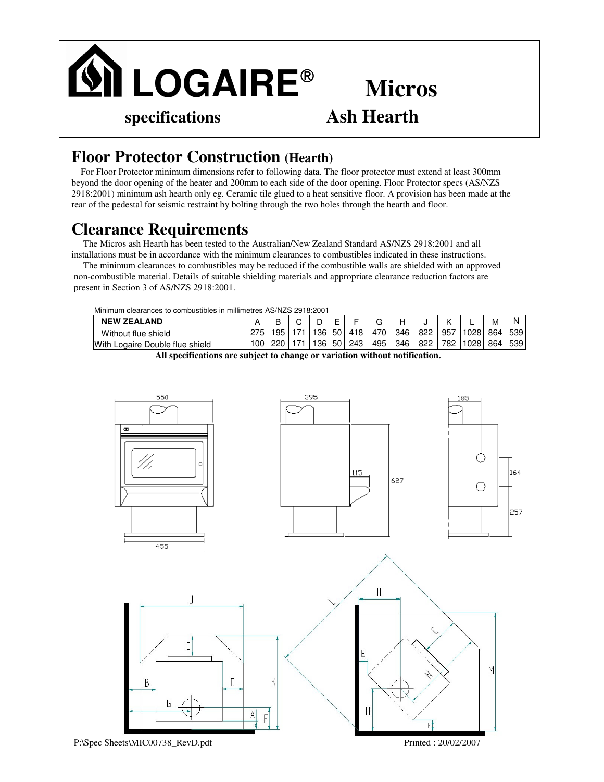

## **Micros**

## **Floor Protector Construction (Hearth)**

For Floor Protector minimum dimensions refer to following data. The floor protector must extend at least 300mm beyond the door opening of the heater and 200mm to each side of the door opening. Floor Protector specs (AS/NZS 2918:2001) minimum ash hearth only eg. Ceramic tile glued to a heat sensitive floor. A provision has been made at the rear of the pedestal for seismic restraint by bolting through the two holes through the hearth and floor.

## **Clearance Requirements**

The Micros ash Hearth has been tested to the Australian/New Zealand Standard AS/NZS 2918:2001 and all installations must be in accordance with the minimum clearances to combustibles indicated in these instructions.

The minimum clearances to combustibles may be reduced if the combustible walls are shielded with an approved non-combustible material. Details of suitable shielding materials and appropriate clearance reduction factors are present in Section 3 of AS/NZS 2918:2001.

Minimum clearances to combustibles in millimetres AS/NZS 2918:2001

| <b>NEW ZEALAND</b>              |                  |     |  |                  |                 |     |     |     |     |     | -    | M   |     |  |
|---------------------------------|------------------|-----|--|------------------|-----------------|-----|-----|-----|-----|-----|------|-----|-----|--|
| Without flue shield             |                  | 195 |  | 136 <sub>1</sub> | $-501$          | 418 | 470 | 346 | 822 | 957 | 1028 | 864 | 539 |  |
| With Logaire Double flue shield | 100 <sub>1</sub> | 220 |  | 136              | 50 <sub>1</sub> | 243 | 495 | 346 | 822 | 782 | 1028 | 864 | 539 |  |

**All specifications are subject to change or variation without notification.**